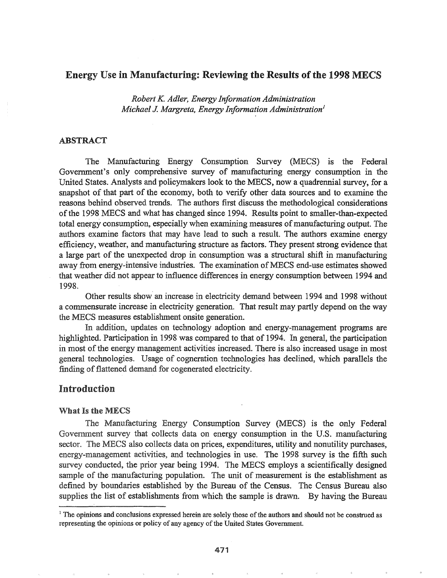## Energy Use in Manufacturing: Reviewing the Results of the 1998 MECS

*Robert K. Adler, Energy Information Administration Michael* J. *Margreta, Energy Information Administration}*

### ABSTRACT

The Manufacturing Energy Consumption Survey (MECS) is the Federal Government's only comprehensive survey of manufacturing energy consumption in the United States. Analysts and policymakers look to the MECS, now a quadrennial survey, for a snapshot of that part of the economy, both to verify other data sources and to examine the reasons behind observed trends. The authors first discuss the methodological considerations of the 1998 MECS and what has changed since 1994. Results point to smaller-than-expected total energy consumption, especially when examining measures of manufacturing output. The authors, examine factors that may have lead to such a result.. The authors examine energy efficiency, weather, and manufacturing structure as factors.. They present strong evidence that a large part of the unexpected drop in consumption was a structural shift in manufacturing away from energy-intensive industries. The examination of MECS end-use estimates showed that weather did not appear to influence differences in energy consumption between 1994 and 1998.

Other results show' an increase in electricity demand between 1994 and 1998 without a commensurate increase in electricity generation. That result may partly depend on the way the MECS measures establishment onsite generation..

In addition, updates on technology adoption and energy-management programs are highlighted. Participation in 1998 was compared to that of 1994. In general, the participation in most of the energy management activities increased. There is also increased usage in most general technologies. Usage of cogneration technologies has declined, which parallels the finding of flattened demand for cogenerated electricity.

## Introduction

#### What Is the MECS

The Manufacturing Energy Consumption Survey (MECS) is the only Federal Government survey that collects data on energy consumption in the U.S. manufacturing sector. The MECS also collects data on prices, expenditures, utility and nonutility purchases, energy-management activities, and technologies in use. The 1998 survey is the fifth such survey conducted, the prior year being 1994. The MECS employs a scientifically designed sample of the manufacturing population. The unit of measurement is the establishment as defined by boundaries established by the Bureau of the Census. The Census Bureau also supplies the list of establishments from which the sample is drawn. By having the Bureau

 $<sup>1</sup>$  The opinions and conclusions expressed herein are solely those of the authors and should not be construed as</sup> representing the opinions or policy of any agency of the United States Government.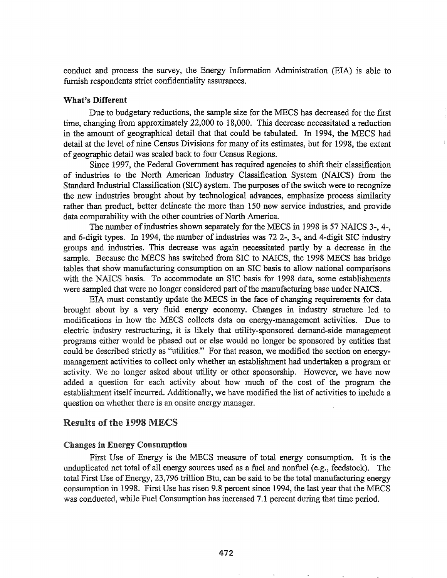conduct and process the survey, the Energy Infonnation Administration (EIA) is able to furnish respondents strict confidentiality assurances.

### What's Different

Due to budgetary reductions, the sample size for the MECS has decreased for the first time, changing from approximately 22,000 to 18,000. This decrease necessitated a reduction in the amount of geographical detail that that could be tabulated. In 1994, the MECS had detail at the level of nine Census Divisions for many of its estimates, but for 1998, the extent of geographic detail was scaled back to four Census Regions.

Since 1997, the Federal Government has required agencies to shift their classification of industries to the North American Industry Classification System (NAICS) from the Standard Industrial Classification (SIC) system. The purposes of the switch were to recognize the new industries brought about by technological advances, emphasize process similarity rather than product, better delineate the more than 150 new service industries, and provide data comparability with the other countries of North America.

The number of industries shown separately for the MECS in 1998 is 57 NAICS 3-, 4-, and 6-digit types. In 1994, the number of industries was 72 2-, 3-, and 4-digit SIC industry groups and. industries. This decrease was again necessitated partly by a decrease in the sample. Because the MECS has switched from SIC to NAICS, the 1998 MECS has bridge tables that show manufacturing consumption on an SIC basis to allow national comparisons with the NAICS basis. To accommodate an SIC basis for 1998 data, some establishments were sampled that were no longer considered part of the manufacturing base under NAICS.

EIA must constantly update the MECS in the face of changing requirements for data brought about by a very fluid energy economy.. Changes in industry structure led to modifications in how the MECS collects data on energy-management activities. Due to electric industry restructuring, it is likely that utility-sponsored demand-side management programs either would be phased out or else would no longer be sponsored by entities that could be described strictly as "utilities." For that reason, we modified the section on energymanagement activities to collect only whether an establishment had undertaken a program or activity. We no longer asked about utility or other sponsorship. However, we have now added a question for each activity about how much of the cost of the program the establishment itself incurred. Additionally, we have modified the list of activities to include a question on whether there is an onsite energy manager.

## Results of the 1998 MECS

### **Changes in Energy Consumption**

First Use of Energy is the MECS measure of total energy consumption. It is the unduplicated net total of all energy sources used as a fuel and nonfuel (e.g., feedstock). The total First Use of Energy, 23,796 trillion Btu, can be said to be the total manufacturing energy consumption in 1998. First Use has risen 9.8 percent since 1994, the last year that the MECS was conducted, while Fuel Consumption has increased 7.1 percent during that time period.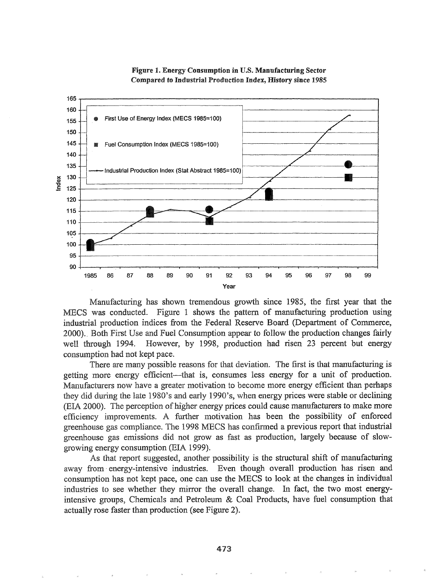



Manufacturing has shown tremendous growth since 1985, the first year that the MECS was conducted. Figure 1 shows the pattern of manufacturing production using industrial production indices from the Federal Reserve Board (Department of Commerce, 2000). Both First Use and Fuel Consumption appear to follow the production changes fairly well through 1994. However, by 1998, production had risen 23 percent but energy consumption had not kept pace.

There are many possible reasons for that deviation. The first is that manufacturing is getting more energy efficient—that is, consumes less energy for a unit of production. Manufacturers now have a greater motivation to become more energy efficient than perhaps they did during the late 1980's and early 1990's, when energy prices were stable or declining (EIA 2000). The perception of higher energy prices could cause manufacturers to make more efficiency improvements. A further motivation has been the possibility of enforced greenhouse gas compliance. The 1998 MECS has confirmed a previous report that industrial greenhouse gas emissions did not grow as fast as production, largely because of slowgrowing energy consumption (EIA 1999).

As that report suggested, another possibility is the structural shift of manufacturing away from energy-intensive industries. Even though overall production has risen and consumption has not kept pace, one can use the MECS to look at the changes in individual industries to see whether they mirror the overall change. In fact, the two most energyintensive groups, Chemicals and Petroleum  $&$  Coal Products, have fuel consumption that actually rose faster than production (see Figure 2).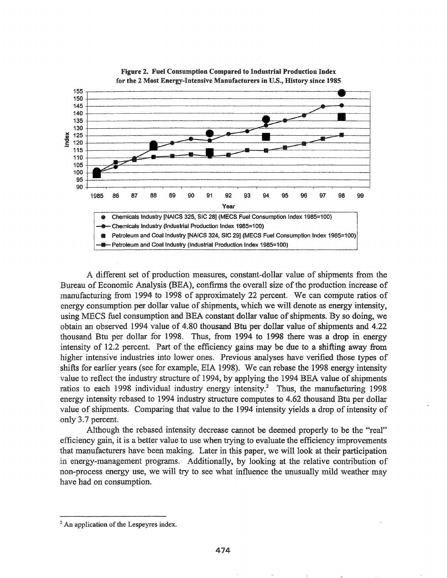

Figure 2. Fuel Consumption Compared to Industrial Production Index for the 2 Most Energy-Intensive Manufacturers in U.S., History since 1985

A different set of production measures, constant-dollar value of shipments from the Bureau of Economic Analysis (BEA), confirms the overall size of the production increase of manufacturing from 1994 to 1998 of approximately 22 percent. We can compute ratios of energy consumption per dollar value of shipments, which we will denote as energy intensity, using MECS fuel consumption and BEA constant dollar value of shipments. By so doing, we obtain an observed 1994 value of 4.80 thousand Btu per dollar value of shipments and 4.22 thousand Btu per dollar for 1998. Thus, from 1994 to 1998 there was a drop in energy intensity of 12.2 percent. Part of the efficiency gains may be due to a shifting away from higher intensive industries into lower ones. Previous analyses have verified those types of shifts for earlier years (see for example, EIA 1998). We can rebase the 1998 energy intensity value to reflect the industry structure of 1994, by applying the 1994 BEA value of shipments ratios to each 1998 individual industry energy intensity.<sup>2</sup> Thus, the manufacturing 1998 energy intensity rebased to 1994 industry structure computes to 4.62 thousand Btu per dollar value of shipments. Comparing that value to the 1994 intensity yields a drop of intensity of only 3.7 percent.

Although the rebased intensity decrease cannot be deemed properly to be the "real" efficiency gain, it is a better value to use when trying to evaluate the efficiency improvements that manufacturers have been making. Later in this paper, we will look at their participation in energy-management programs. Additionally, by looking at the relative contribution of non-process energy use, we will try to see what influence the unusually mild weather may have had on consumption.

<sup>&</sup>lt;sup>2</sup> An application of the Lespeyres index.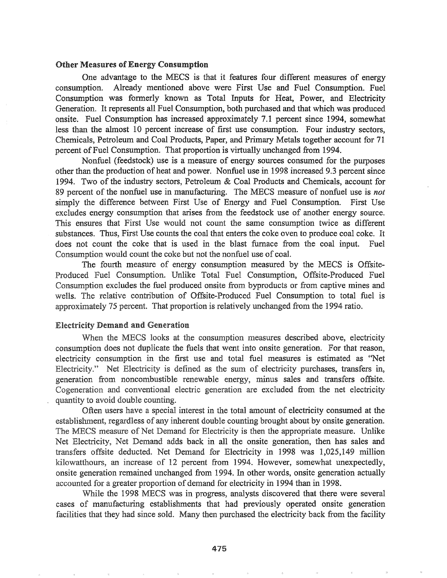### **Other Measures of Energy Consumption**

One advantage to the MECS is that it features four different measures of energy consumption. Already mentioned above were First Use and Fuel Consumption. Fuel Consumption was formerly known as Total Inputs for Heat, Power, and Electricity Generation. It represents all Fuel Consumption, both purchased and that which was produced onsite. Fuel Consumption has increased approximately 7.1 percent since 1994, somewhat less than the almost 10 percent increase of first use consumption. Four industry sectors, Chemicals, Petroleum and Coal Products, Paper, and Primary Metals together account for 71 percent of Fuel Consumption. That proportion is virtually unchanged from 1994.

Nonfuel (feedstock) use is a measure of energy sources consumed for the purposes other than the production of heat and power. Nonfuel use in 1998 increased 9.3 percent since 1994. Two of the industry sectors, Petroleum & Coal Products and Chemicals, account for 89 percent of the nonfuel use in manufacturing. The MECS measure of nonfuel use is *not* simply the difference between First Use of Energy and Fuel Consumption. First Use excludes energy consumption that arises from the feedstock use of another energy source. This ensures that First Use would not count the same consumption twice as different substances. Thus, First Use counts the coal that enters the coke oven to produce coal coke. It does not count the coke that is used in the blast furnace from the coal input.. Fuel Consumption would count the coke but not the nonfuel use of coal.

The fourth measure of energy consumption measured by the MECS is Offsite-Produced Fuel Consumption. Unlike Total Fuel Consumption, Offsite-Produced Fuel Consumption excludes the fuel produced onsite from byproducts or from captive mines and wells. The relative contribution of Offsite-Produced Fuel Consumption to total fuel is approximately 75 percent. That proportion is relatively unchanged from the 1994 ratio.

### **Electricity Demand and Generation**

When the MECS looks at the consumption measures described above, electricity consumption does not duplicate the fuels that went into onsite generation. For that reason, electricity consumption in the first use and total fuel measures is estimated as "Net Electricity." Net Electricity is defined as the sum of electricity purchases, transfers in, generation from noncombustible renewable energy, minus sales and transfers offsite. Cogeneration and conventional electric generation are excluded from the net electricity quantity to avoid double counting.

Often users have a special interest in the total amount of electricity consumed at the establishment, regardless of any inherent double counting brought about by onsite generation. The MECS measure of Net Demand for Electricity is then the appropriate measure. Unlike Net Electricity, Net Demand adds back in all the onsite generation, then has sales and transfers offsite deducted. Net Demand for Electricity in 1998 was 1,025,149 million kilowatthours, an increase of 12 percent from 1994. However, somewhat unexpectedly, onsite generation remained unchanged from 1994. In other words, onsite generation actually accounted for a greater proportion of demand for electricity in 1994 than in 1998.

While the 1998 MECS was in progress, analysts discovered that there were several cases of manufacturing establishments that had previously operated onsite generation facilities that they had since sold. Many then purchased the electricity back from the facility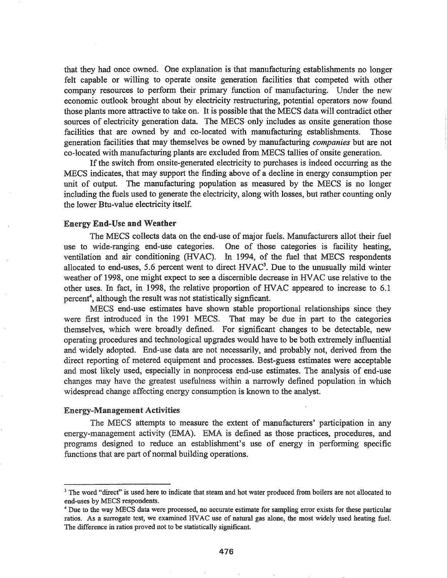that they had once owned. One explanation is that manufacturing establishments no longer felt capable or willing to operate onsite generation facilities that competed with other company resources to perform their primary function of manufacturing. Under the new economic outlook brought about by electricity restructuring, potential operators now found those plants more attractive to take on. It is possible that the MECS data will contradict other sources of electricity generation data. The MECS only includes as onsite generation those facilities that are owned by and co-located with manufacturing establishments. Those generation facilities that may themselves be owned by manufacturing *companies* but are not co-located with manufacturing plants are excluded from MECS tallies of onsite generation.

If the switch from onsite-generated electricity to purchases is indeed occurring as the MECS indicates, that may support the finding above of a decline in energy consumption per unit of output. The manufacturing population as measured by the MECS is no longer including the fuels used to generate the electricity, along with losses, but rather counting only the lower Btu-value electricity itself.

#### Energy End-Use and Weather

The MECS collects data on the end-use of major fuels. Manufacturers allot their fuel use to wide-ranging end-use categories. One of those categories is facility heating, ventilation and air conditioning (HVAC). In 1994, of the fuel that MECS respondents allocated to end-uses, 5.6 percent went to direct  $HVAC<sup>3</sup>$ . Due to the unusually mild winter weather of 1998, one might expect to see a discernible decrease in HVAC use relative to the other uses.. In fact, in 1998, the relative proportion of HVAC appeared to increase to 6.1 percent<sup>4</sup>, although the result was not statistically signficant.

MECS end-use estimates have shown stable proportional relationships since they were first introduced in the 1991 MECS. That may be due in part to the categories themselves, which were broadly defined. For significant changes to be detectable, new operating procedures and technological upgrades would have to be both extremely influential and widely adopted. End-use data are not necessarily, and probably not, derived from the direct reporting of metered equipment and processes. Best-guess estimates were acceptable and most likely used, especially in nonprocess end-use estimates. The analysis of end-use changes may have the greatest usefulness· within a narrowly defined population in which widespread change affecting energy consumption is known to the analyst.

### Energy-Management Activities

The MECS attempts to measure the extent of manufacturers' participation in any energy-management activity (EMA). EMA is defined as those practices, procedures, and programs designed to reduce an establishment's use of energy in performing specific functions that are part of normal building operations.

<sup>&</sup>lt;sup>3</sup> The word "direct" is used here to indicate that steam and hot water produced from boilers are not allocated to end-uses by MECS respondents.

<sup>4</sup> Due to the way MECS data were processed, no accurate estimate for sampling error exists for these particular ratios. As a surrogate test, we examined HVAC use of natural gas alone, the most widely used heating fuel. The difference in ratios proved not to be statistically significant.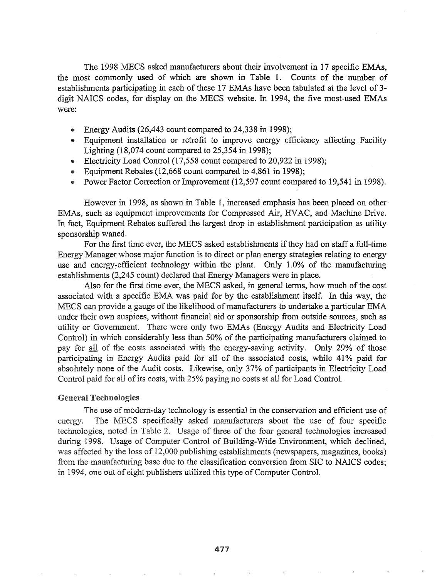The 1998 MECS asked manufacturers about their involvement in 17 specific EMAs, the most commonly used of which are shown in Table 1. Counts of the number of establishments participating in each of these 17 EMAs have been tabulated at the level of 3digit NAICS codes, for display on the MECS website. In 1994, the five most-used EMAs were:

- Energy Audits (26,443 count compared to 24,338 in 1998);
- Equipment installation or retrofit to improve energy efficiency affecting Facility Lighting (18,074 count compared to 25,354 in 1998);
- Electricity Load Control (17,558 count compared to 20,922 in 1998);
- Equipment Rebates (12,668 count compared to 4,861 in 1998);
- Power Factor Correction or Improvement (12,597 count compared to 19,541 in 1998).

However in 1998, as shown in Table 1, increased emphasis has been placed on other EMAs, such as equipment improvements for Compressed Air, HVAC, and Machine Drive. In fact, Equipment Rebates suffered the largest drop in establishment participation as utility sponsorship waned.

For the first time ever, the MECS asked establishments if they had on staff a full-time Energy Manager whose major function is to direct or plan energy strategies relating to energy use and energy-efficient technology within the plant. Only 1.0% of the manufacturing establishments (2,245 count) declared that Energy Managers were in place.

Also for the first time ever, the MECS asked, in general terms, how much of the cost associated with a specific EMA was paid for by the establishment itself. In this way, the MECS can provide a gauge of the likelihood of manufacturers to undertake a particular EMA under their own auspices, without financial aid or sponsorship from outside sources, such as utility or Government. There were only two EMAs (Energy Audits and Electricity Load Control) in which considerably less than 50% of the participating manufacturers claimed to pay for all of the costs associated with the energy-saving activity. Only 29% of those participating in Energy Audits paid for all of the associated costs, while 41% paid for absolutely none of the Audit costs. Likewise, only 37% of participants in Electricity Load Control paid for all of its costs, with 25% paying no costs at all for Load Control.

#### **General Technologies**

The use of modern-day technology is essential in the conservation and efficient use of energy. The MECS specifically asked manufacturers about the use of four specific technologies, noted in Table 2. Usage of three of the four general technologies increased during 1998. Usage of Computer Control of Building-Wide Environment, which declined, was affected by the loss of 12,000 publishing establishments (newspapers, magazines, books) from the manufacturing base due to the classification conversion from SIC to NAICS codes; in 1994, one out of eight publishers utilized this type of Computer Control.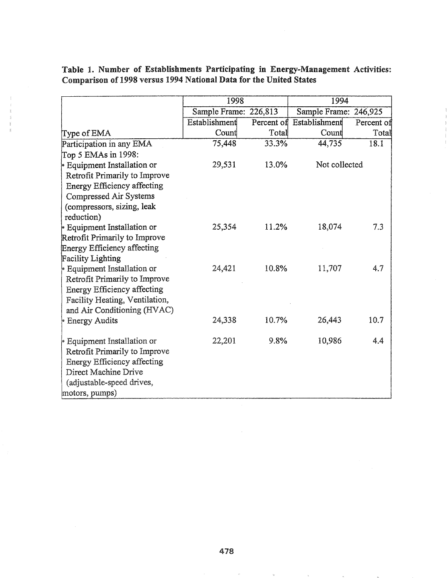|  |                                                                    |  | Table 1. Number of Establishments Participating in Energy-Management Activities: |  |
|--|--------------------------------------------------------------------|--|----------------------------------------------------------------------------------|--|
|  | Comparison of 1998 versus 1994 National Data for the United States |  |                                                                                  |  |

|                                    | 1998                  |       | 1994                     |            |  |
|------------------------------------|-----------------------|-------|--------------------------|------------|--|
|                                    | Sample Frame: 226,813 |       | Sample Frame: 246,925    |            |  |
|                                    | Establishment         |       | Percent of Establishment | Percent of |  |
| Type of EMA                        | Count                 | Total | Count                    | Total      |  |
| Participation in any EMA           | 75,448                | 33.3% | 44,735                   | 18.1       |  |
| Top 5 EMAs in 1998:                |                       |       |                          |            |  |
| <b>Equipment Installation or</b>   | 29,531                | 13.0% | Not collected            |            |  |
| Retrofit Primarily to Improve      |                       |       |                          |            |  |
| <b>Energy Efficiency affecting</b> |                       |       |                          |            |  |
| Compressed Air Systems             |                       |       |                          |            |  |
| (compressors, sizing, leak         |                       |       |                          |            |  |
| reduction)                         |                       |       |                          |            |  |
| <b>Equipment Installation or</b>   | 25,354                | 11.2% | 18,074                   | 7.3        |  |
| Retrofit Primarily to Improve      |                       |       |                          |            |  |
| Energy Efficiency affecting        |                       |       |                          |            |  |
| <b>Facility Lighting</b>           |                       |       |                          |            |  |
| Equipment Installation or          | 24,421                | 10.8% | 11,707                   | 4.7        |  |
| Retrofit Primarily to Improve      |                       |       |                          |            |  |
| <b>Energy Efficiency affecting</b> |                       |       |                          |            |  |
| Facility Heating, Ventilation,     |                       |       |                          |            |  |
| and Air Conditioning (HVAC)        |                       |       |                          |            |  |
| <b>Energy Audits</b>               | 24,338                | 10.7% | 26,443                   | 10.7       |  |
| Equipment Installation or          | 22,201                | 9.8%  | 10,986                   | 4.4        |  |
| Retrofit Primarily to Improve      |                       |       |                          |            |  |
| <b>Energy Efficiency affecting</b> |                       |       |                          |            |  |
| Direct Machine Drive               |                       |       |                          |            |  |
| (adjustable-speed drives,          |                       |       |                          |            |  |
| motors, pumps)                     |                       |       |                          |            |  |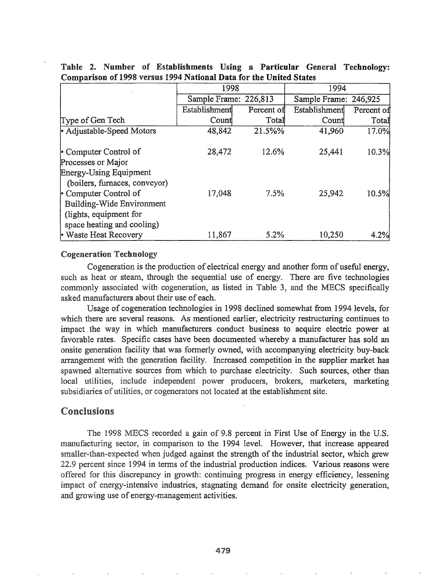|                                  | 1998                  |            | 1994                  |            |  |
|----------------------------------|-----------------------|------------|-----------------------|------------|--|
|                                  | Sample Frame: 226,813 |            | Sample Frame: 246,925 |            |  |
|                                  | Establishment         | Percent of | Establishment         | Percent of |  |
| Type of Gen Tech                 | Count                 | Total      | Count                 | Total      |  |
| • Adjustable-Speed Motors        | 48,842                | 21.5%%     | 41,960                | 17.0%      |  |
| • Computer Control of            | 28,472                | 12.6%      | 25,441                | 10.3%      |  |
| Processes or Major               |                       |            |                       |            |  |
| <b>Energy-Using Equipment</b>    |                       |            |                       |            |  |
| (boilers, furnaces, conveyor)    |                       |            |                       |            |  |
| • Computer Control of            | 17,048                | 7.5%       | 25,942                | 10.5%      |  |
| <b>Building-Wide Environment</b> |                       |            |                       |            |  |
| (lights, equipment for           |                       |            |                       |            |  |
| space heating and cooling)       |                       |            |                       |            |  |
| <b>Waste Heat Recovery</b>       | 11,867                | 5.2%       | 10,250                | 4.2%       |  |

## Table 2. Number of Establishments Using a Particular General Technology: Comparison of 1998 versus 1994 National Data for the United States

### Cogeneration Technology

Cogeneration is the production of electrical energy and another fonn of useful energy, such as heat or steam, through the sequential use of energy. There are five technologies commonly associated with cogeneration, as listed in Table 3, and the MECS specifically asked manufacturers about their use of each.

Usage of cogeneration technologies in 1998 declined somewhat from 1994 levels, for which there are several reasons. As mentioned earlier, electricity restructuring continues to impact the way in which manufacturers conduct business to acquire electric power at favorable rates. Specific cases have been documented whereby a manufacturer has sold an onsite generation facility that was fonnerly owned, with accompanying electricity buy-back arrangement with the generation facility. Increased competition in the supplier market has spawned alternative sources from which to purchase electricity. Such sources, other than local utilities, include independent power producers, brokers, marketers, marketing subsidiaries of utilities, or cogenerators not located at the establishment site.

### Conclusions

The 1998 MECS recorded a gain of 9.8 percent in First Use of Energy in the U.S. manufacturing sector, in comparison to the 1994 level. However, that increase appeared smaller-than-expected when judged against the strength of the industrial sector, which grew 22.9 percent since 1994 in terms of the industrial production indices. Various reasons were offered for this discrepancy in growth: continuing progress in energy efficiency, lessening impact of energy-intensive industries, stagnating demand for onsite electricity generation, and growing use of energy-management activities.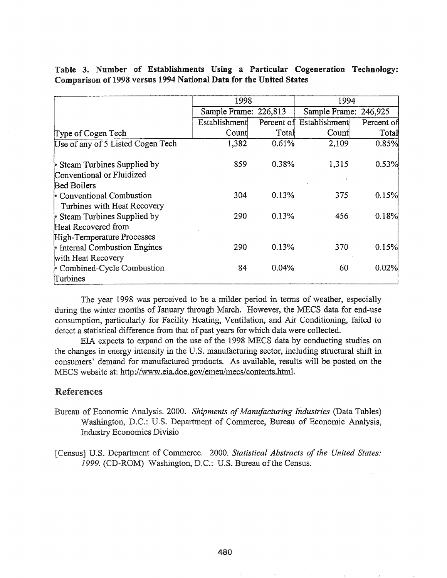|                                                                    |  |  |  | Table 3. Number of Establishments Using a Particular Cogeneration Technology: |  |  |  |  |  |
|--------------------------------------------------------------------|--|--|--|-------------------------------------------------------------------------------|--|--|--|--|--|
| Comparison of 1998 versus 1994 National Data for the United States |  |  |  |                                                                               |  |  |  |  |  |

|                                   | 1998                  |       | 1994                     |            |  |
|-----------------------------------|-----------------------|-------|--------------------------|------------|--|
|                                   | Sample Frame: 226,813 |       | Sample Frame: 246,925    |            |  |
|                                   | Establishment         |       | Percent of Establishment | Percent of |  |
| Type of Cogen Tech                | Count                 | Total | Count                    | Total      |  |
| Use of any of 5 Listed Cogen Tech | 1,382                 | 0.61% | 2,109                    | 0.85%      |  |
| • Steam Turbines Supplied by      | 859                   | 0.38% | 1,315                    | 0.53%      |  |
| Conventional or Fluidized         |                       |       |                          |            |  |
| <b>Bed Boilers</b>                |                       |       |                          |            |  |
| Conventional Combustion           | 304                   | 0.13% | 375                      | 0.15%      |  |
| Turbines with Heat Recovery       |                       |       |                          |            |  |
| Steam Turbines Supplied by        | 290                   | 0.13% | 456                      | 0.18%      |  |
| Heat Recovered from               |                       |       |                          |            |  |
| High-Temperature Processes        |                       |       |                          |            |  |
| Internal Combustion Engines       | 290                   | 0.13% | 370                      | 0.15%      |  |
| with Heat Recovery                |                       |       |                          |            |  |
| Combined-Cycle Combustion         | 84                    | 0.04% | 60                       | 0.02%      |  |
| Turbines                          |                       |       |                          |            |  |

The year 1998 was perceived to be a milder period in terms of weather, especially during the winter months of January through March. However, the MECS data for end-use consumption, particularly for Facility Heating, Ventilation, and Air Conditioning, failed to detect a statistical difference from that of past years for which data were collected.

EIA expects to expand on the use of the 1998 MECS data by conducting studies on the changes in energy intensity in the U.S. manufacturing sector, including structural shift in consumers' demand for manufactured products. As available, results will be posted on the MECS website at: http://www.eia.doe.gov/emeu/mecs/contents.html.

# References

- Bureau of Economic Analysis. 2000. Shipments of Manufacturing Industries (Data Tables) Washington, D.C.: U.S. Department of Commerce, Bureau of Economic Analysis, **Industry Economics Divisio**
- [Census] U.S. Department of Commerce. 2000. Statistical Abstracts of the United States: 1999. (CD-ROM) Washington, D.C.: U.S. Bureau of the Census.